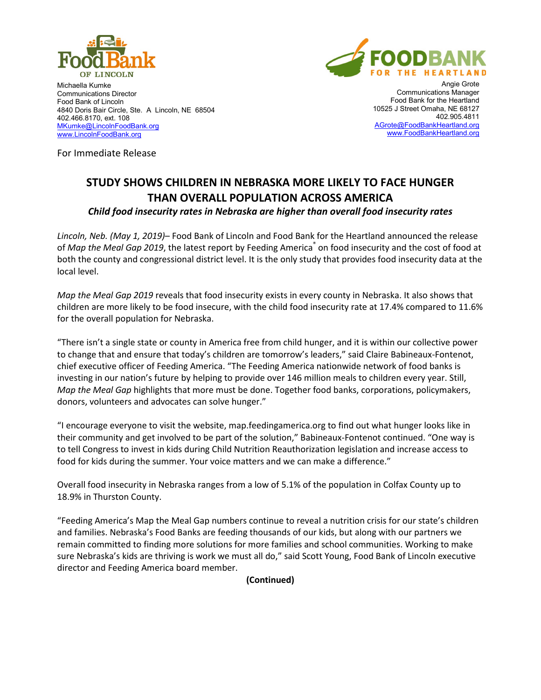



Michaella Kumke Communications Director Food Bank of Lincoln 4840 Doris Bair Circle, Ste. A Lincoln, NE 68504 402.466.8170, ext. 108 [MKumke@LincolnFoodBank.org](mailto:MKumke@LincolnFoodBank.org) [www.LincolnFoodBank.org](http://www.lincolnfoodbank.org/)

Angie Grote Communications Manager Food Bank for the Heartland 10525 J Street Omaha, NE 68127 402.905.4811 [AGrote@FoodBankHeartland.org](mailto:AGrote@FoodBankHeartland.org) [www.FoodBankHeartland.org](http://www.foodbankheartland.org/)

For Immediate Release

# **STUDY SHOWS CHILDREN IN NEBRASKA MORE LIKELY TO FACE HUNGER THAN OVERALL POPULATION ACROSS AMERICA** *Child food insecurity rates in Nebraska are higher than overall food insecurity rates*

*Lincoln, Neb. (May 1, 2019)*– Food Bank of Lincoln and Food Bank for the Heartland announced the release of *Map the Meal Gap 2019*, the latest report by Feeding America<sup>®</sup> on food insecurity and the cost of food at both the county and congressional district level. It is the only study that provides food insecurity data at the local level.

*Map the Meal Gap 2019* reveals that food insecurity exists in every county in Nebraska. It also shows that children are more likely to be food insecure, with the child food insecurity rate at 17.4% compared to 11.6% for the overall population for Nebraska.

"There isn't a single state or county in America free from child hunger, and it is within our collective power to change that and ensure that today's children are tomorrow's leaders," said Claire Babineaux-Fontenot, chief executive officer of Feeding America. "The Feeding America nationwide network of food banks is investing in our nation's future by helping to provide over 146 million meals to children every year. Still, *Map the Meal Gap* highlights that more must be done. Together food banks, corporations, policymakers, donors, volunteers and advocates can solve hunger."

"I encourage everyone to visit the website, map.feedingamerica.org to find out what hunger looks like in their community and get involved to be part of the solution," Babineaux-Fontenot continued. "One way is to tell Congress to invest in kids during Child Nutrition Reauthorization legislation and increase access to food for kids during the summer. Your voice matters and we can make a difference."

Overall food insecurity in Nebraska ranges from a low of 5.1% of the population in Colfax County up to 18.9% in Thurston County.

"Feeding America's Map the Meal Gap numbers continue to reveal a nutrition crisis for our state's children and families. Nebraska's Food Banks are feeding thousands of our kids, but along with our partners we remain committed to finding more solutions for more families and school communities. Working to make sure Nebraska's kids are thriving is work we must all do," said Scott Young, Food Bank of Lincoln executive director and Feeding America board member.

**(Continued)**